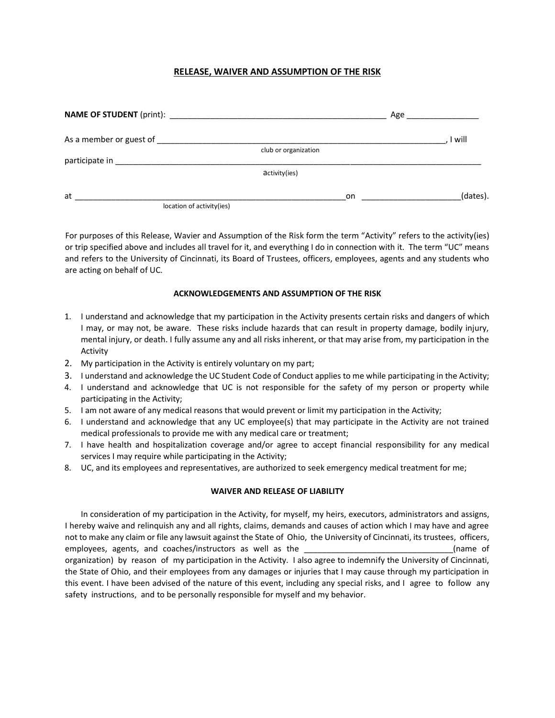# **RELEASE, WAIVER AND ASSUMPTION OF THE RISK**

| As a member or guest of                                                                                                                                                                                                       |                      | I will   |
|-------------------------------------------------------------------------------------------------------------------------------------------------------------------------------------------------------------------------------|----------------------|----------|
|                                                                                                                                                                                                                               | club or organization |          |
| participate in the control of the control of the control of the control of the control of the control of the control of the control of the control of the control of the control of the control of the control of the control |                      |          |
|                                                                                                                                                                                                                               | activity(ies)        |          |
| at                                                                                                                                                                                                                            | on                   | (dates). |
| location of activity(ies)                                                                                                                                                                                                     |                      |          |

 For purposes of this Release, Wavier and Assumption of the Risk form the term "Activity" refers to the activity(ies) and refers to the University of Cincinnati, its Board of Trustees, officers, employees, agents and any students who or trip specified above and includes all travel for it, and everything I do in connection with it. The term "UC" means are acting on behalf of UC.

# **ACKNOWLEDGEMENTS AND ASSUMPTION OF THE RISK**

- 1. I understand and acknowledge that my participation in the Activity presents certain risks and dangers of which I may, or may not, be aware. These risks include hazards that can result in property damage, bodily injury, mental injury, or death. I fully assume any and all risks inherent, or that may arise from, my participation in the Activity
- 2. My participation in the Activity is entirely voluntary on my part;
- 3. I understand and acknowledge the UC Student Code of Conduct applies to me while participating in the Activity;
- 4. I understand and acknowledge that UC is not responsible for the safety of my person or property while participating in the Activity;
- 5. I am not aware of any medical reasons that would prevent or limit my participation in the Activity;
- 6. I understand and acknowledge that any UC employee(s) that may participate in the Activity are not trained medical professionals to provide me with any medical care or treatment;
- 7. I have health and hospitalization coverage and/or agree to accept financial responsibility for any medical services I may require while participating in the Activity;
- 8. UC, and its employees and representatives, are authorized to seek emergency medical treatment for me;

#### **WAIVER AND RELEASE OF LIABILITY**

 In consideration of my participation in the Activity, for myself, my heirs, executors, administrators and assigns, I hereby waive and relinquish any and all rights, claims, demands and causes of action which I may have and agree not to make any claim or file any lawsuit against the State of Ohio, the University of Cincinnati, its trustees, officers, employees, agents, and coaches/instructors as well as the \_\_\_\_\_\_\_\_\_\_\_\_\_\_\_\_\_\_\_\_\_\_\_\_\_\_\_\_\_\_\_\_\_(name of organization) by reason of my participation in the Activity. I also agree to indemnify the University of Cincinnati, the State of Ohio, and their employees from any damages or injuries that I may cause through my participation in this event. I have been advised of the nature of this event, including any special risks, and I agree to follow any safety instructions, and to be personally responsible for myself and my behavior.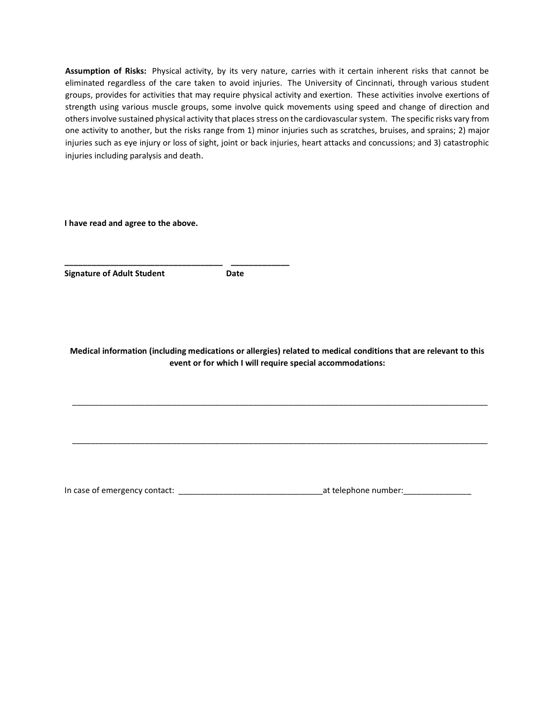**Assumption of Risks:** Physical activity, by its very nature, carries with it certain inherent risks that cannot be eliminated regardless of the care taken to avoid injuries. The University of Cincinnati, through various student groups, provides for activities that may require physical activity and exertion. These activities involve exertions of strength using various muscle groups, some involve quick movements using speed and change of direction and others involve sustained physical activity that places stress on the cardiovascular system. The specific risks vary from one activity to another, but the risks range from 1) minor injuries such as scratches, bruises, and sprains; 2) major injuries such as eye injury or loss of sight, joint or back injuries, heart attacks and concussions; and 3) catastrophic injuries including paralysis and death.

**I have read and agree to the above.** 

**\_\_\_\_\_\_\_\_\_\_\_\_\_\_\_\_\_\_\_\_\_\_\_\_\_\_\_\_\_\_\_\_\_\_\_ \_\_\_\_\_\_\_\_\_\_\_\_\_** 

**Signature of Adult Student Communisty Communist Communist Communist Communist Communist Communist Communist Communist Communist Communist Communist Communist Communist Communist Communist Communist Communist Communist Com** 

**Medical information (including medications or allergies) related to medical conditions that are relevant to this event or for which I will require special accommodations:** 

\_\_\_\_\_\_\_\_\_\_\_\_\_\_\_\_\_\_\_\_\_\_\_\_\_\_\_\_\_\_\_\_\_\_\_\_\_\_\_\_\_\_\_\_\_\_\_\_\_\_\_\_\_\_\_\_\_\_\_\_\_\_\_\_\_\_\_\_\_\_\_\_\_\_\_\_\_\_\_\_\_\_\_\_\_\_\_\_\_\_\_\_

\_\_\_\_\_\_\_\_\_\_\_\_\_\_\_\_\_\_\_\_\_\_\_\_\_\_\_\_\_\_\_\_\_\_\_\_\_\_\_\_\_\_\_\_\_\_\_\_\_\_\_\_\_\_\_\_\_\_\_\_\_\_\_\_\_\_\_\_\_\_\_\_\_\_\_\_\_\_\_\_\_\_\_\_\_\_\_\_\_\_\_\_

In case of emergency contact: \_\_\_\_\_\_\_\_\_\_\_\_\_\_\_\_\_\_\_\_\_\_\_\_\_\_\_\_\_\_\_\_at telephone number:\_\_\_\_\_\_\_\_\_\_\_\_\_\_\_